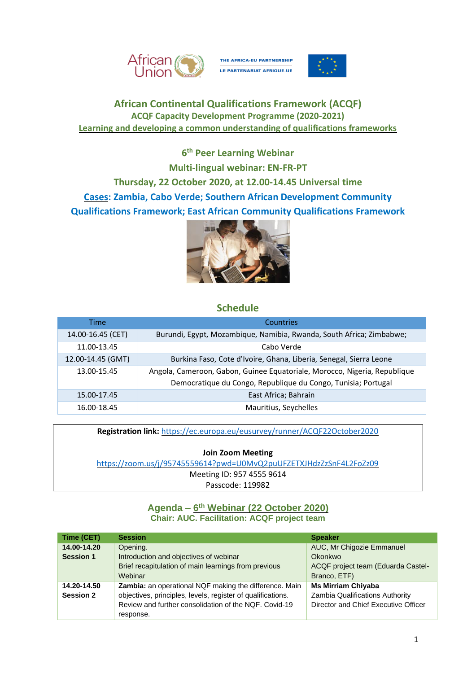

THE AFRICA-EU PARTNERSHIP LE PARTENARIAT AFRIQUE-UE



# **African Continental Qualifications Framework (ACQF) ACQF Capacity Development Programme (2020-2021) Learning and developing a common understanding of qualifications frameworks**

**6 th Peer Learning Webinar Multi-lingual webinar: EN-FR-PT Thursday, 22 October 2020, at 12.00-14.45 Universal time Cases: Zambia, Cabo Verde; Southern African Development Community Qualifications Framework; East African Community Qualifications Framework**



## **Schedule**

| Time              | <b>Countries</b>                                                          |  |
|-------------------|---------------------------------------------------------------------------|--|
| 14.00-16.45 (CET) | Burundi, Egypt, Mozambique, Namibia, Rwanda, South Africa; Zimbabwe;      |  |
| 11.00-13.45       | Cabo Verde                                                                |  |
| 12.00-14.45 (GMT) | Burkina Faso, Cote d'Ivoire, Ghana, Liberia, Senegal, Sierra Leone        |  |
| 13.00-15.45       | Angola, Cameroon, Gabon, Guinee Equatoriale, Morocco, Nigeria, Republique |  |
|                   | Democratique du Congo, Republique du Congo, Tunisia; Portugal             |  |
| 15.00-17.45       | East Africa; Bahrain                                                      |  |
| 16.00-18.45       | Mauritius, Seychelles                                                     |  |

**Registration link:** <https://ec.europa.eu/eusurvey/runner/ACQF22October2020>

**Join Zoom Meeting**

<https://zoom.us/j/95745559614?pwd=U0MvQ2puUFZETXJHdzZzSnF4L2FoZz09>

Meeting ID: 957 4555 9614

Passcode: 119982

### **Agenda – 6 th Webinar (22 October 2020) Chair: AUC. Facilitation: ACQF project team**

| Time (CET)       | <b>Session</b>                                                | <b>Speaker</b>                       |
|------------------|---------------------------------------------------------------|--------------------------------------|
| 14.00-14.20      | Opening.                                                      | AUC, Mr Chigozie Emmanuel            |
| <b>Session 1</b> | Introduction and objectives of webinar                        | <b>Okonkwo</b>                       |
|                  | Brief recapitulation of main learnings from previous          | ACQF project team (Eduarda Castel-   |
|                  | Webinar                                                       | Branco, ETF)                         |
| 14.20-14.50      | <b>Zambia:</b> an operational NQF making the difference. Main | <b>Ms Mirriam Chiyaba</b>            |
| <b>Session 2</b> | objectives, principles, levels, register of qualifications.   | Zambia Qualifications Authority      |
|                  | Review and further consolidation of the NQF. Covid-19         | Director and Chief Executive Officer |
|                  | response.                                                     |                                      |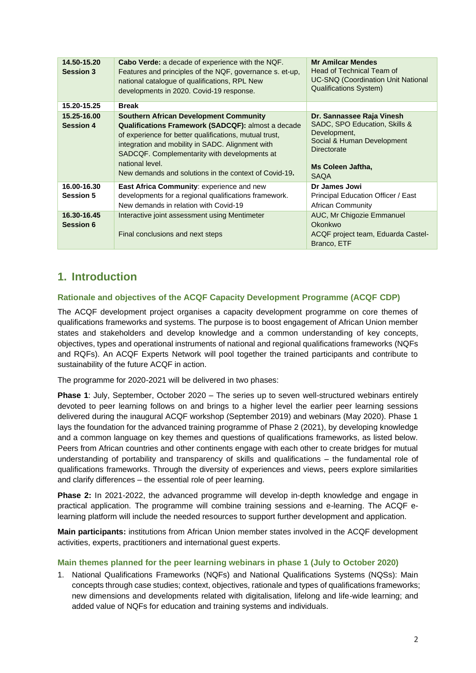| 14.50-15.20<br><b>Session 3</b> | <b>Cabo Verde:</b> a decade of experience with the NQF.<br>Features and principles of the NQF, governance s. et-up,<br>national catalogue of qualifications, RPL New<br>developments in 2020. Covid-19 response.                                                                                                                              | <b>Mr Amilcar Mendes</b><br>Head of Technical Team of<br><b>UC-SNQ (Coordination Unit National</b><br><b>Qualifications System)</b>                         |
|---------------------------------|-----------------------------------------------------------------------------------------------------------------------------------------------------------------------------------------------------------------------------------------------------------------------------------------------------------------------------------------------|-------------------------------------------------------------------------------------------------------------------------------------------------------------|
| 15.20-15.25                     | <b>Break</b>                                                                                                                                                                                                                                                                                                                                  |                                                                                                                                                             |
| 15.25-16.00<br><b>Session 4</b> | <b>Southern African Development Community</b><br>Qualifications Framework (SADCQF): almost a decade<br>of experience for better qualifications, mutual trust,<br>integration and mobility in SADC. Alignment with<br>SADCQF. Complementarity with developments at<br>national level.<br>New demands and solutions in the context of Covid-19. | Dr. Sannassee Raja Vinesh<br>SADC, SPO Education, Skills &<br>Development,<br>Social & Human Development<br>Directorate<br>Ms Coleen Jaftha,<br><b>SAQA</b> |
| 16.00-16.30                     | <b>East Africa Community: experience and new</b>                                                                                                                                                                                                                                                                                              | Dr James Jowi                                                                                                                                               |
| <b>Session 5</b>                | developments for a regional qualifications framework.<br>New demands in relation with Covid-19                                                                                                                                                                                                                                                | Principal Education Officer / East<br>African Community                                                                                                     |
| 16.30-16.45<br><b>Session 6</b> | Interactive joint assessment using Mentimeter<br>Final conclusions and next steps                                                                                                                                                                                                                                                             | AUC, Mr Chigozie Emmanuel<br>Okonkwo<br>ACQF project team, Eduarda Castel-<br>Branco, ETF                                                                   |

# **1. Introduction**

### **Rationale and objectives of the ACQF Capacity Development Programme (ACQF CDP)**

The ACQF development project organises a capacity development programme on core themes of qualifications frameworks and systems. The purpose is to boost engagement of African Union member states and stakeholders and develop knowledge and a common understanding of key concepts, objectives, types and operational instruments of national and regional qualifications frameworks (NQFs and RQFs). An ACQF Experts Network will pool together the trained participants and contribute to sustainability of the future ACQF in action.

The programme for 2020-2021 will be delivered in two phases:

**Phase 1**: July, September, October 2020 – The series up to seven well-structured webinars entirely devoted to peer learning follows on and brings to a higher level the earlier peer learning sessions delivered during the inaugural ACQF workshop (September 2019) and webinars (May 2020). Phase 1 lays the foundation for the advanced training programme of Phase 2 (2021), by developing knowledge and a common language on key themes and questions of qualifications frameworks, as listed below. Peers from African countries and other continents engage with each other to create bridges for mutual understanding of portability and transparency of skills and qualifications – the fundamental role of qualifications frameworks. Through the diversity of experiences and views, peers explore similarities and clarify differences – the essential role of peer learning.

**Phase 2:** In 2021-2022, the advanced programme will develop in-depth knowledge and engage in practical application. The programme will combine training sessions and e-learning. The ACQF elearning platform will include the needed resources to support further development and application.

**Main participants:** institutions from African Union member states involved in the ACQF development activities, experts, practitioners and international guest experts.

#### **Main themes planned for the peer learning webinars in phase 1 (July to October 2020)**

1. National Qualifications Frameworks (NQFs) and National Qualifications Systems (NQSs): Main concepts through case studies; context, objectives, rationale and types of qualifications frameworks; new dimensions and developments related with digitalisation, lifelong and life-wide learning; and added value of NQFs for education and training systems and individuals.